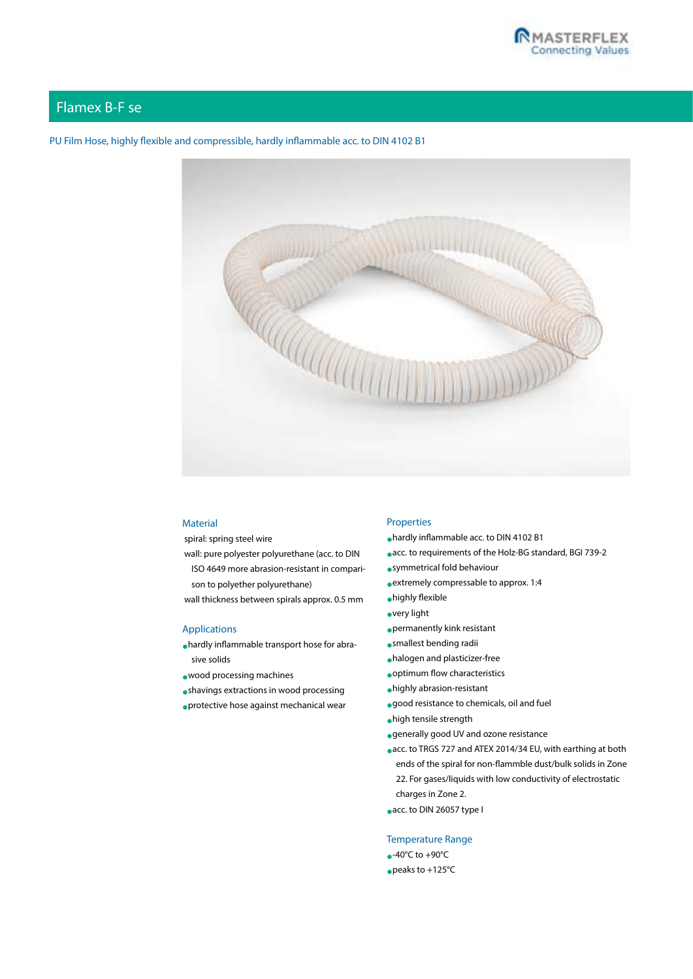

# Flamex B-F se

# PU Film Hose, highly flexible and compressible, hardly inflammable acc. to DIN 4102 B1



### **Material**

spiral: spring steel wire

- wall: pure polyester polyurethane (acc. to DIN ISO 4649 more abrasion-resistant in compari
	- son to polyether polyurethane)
- wall thickness between spirals approx. 0.5 mm

## Applications

- •hardly inflammable transport hose for abrasive solids
- •wood processing machines
- •shavings extractions in wood processing
- •protective hose against mechanical wear

#### Properties

- •hardly inflammable acc. to DIN 4102 B1
- •acc. to requirements of the Holz-BG standard, BGI 739-2
- •symmetrical fold behaviour
- •extremely compressable to approx. 1:4
- •highly flexible
- •very light
- •permanently kink resistant
- •smallest bending radii
- •halogen and plasticizer-free
- •optimum flow characteristics
- •highly abrasion-resistant
- •good resistance to chemicals, oil and fuel
- •high tensile strength
- •generally good UV and ozone resistance
- •acc. to TRGS 727 and ATEX 2014/34 EU, with earthing at both ends of the spiral for non-flammble dust/bulk solids in Zone 22. For gases/liquids with low conductivity of electrostatic charges in Zone 2.
- •acc. to DIN 26057 type I

### Temperature Range

- $\bullet$ -40°C to +90°C
- •peaks to +125°C